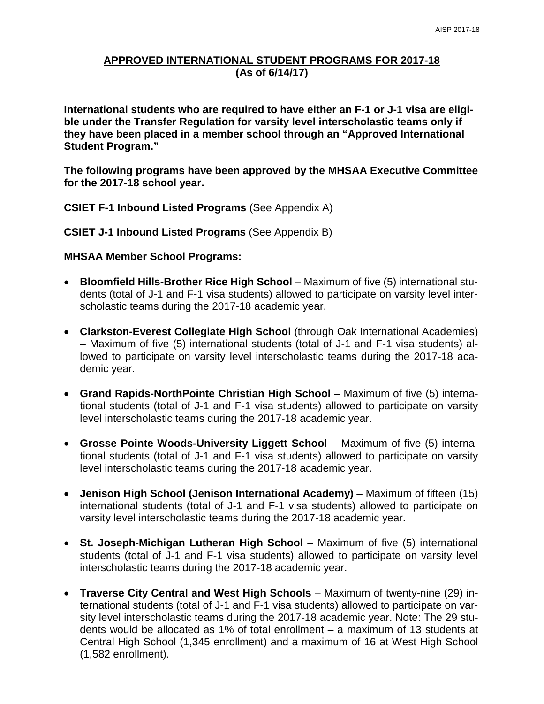### **APPROVED INTERNATIONAL STUDENT PROGRAMS FOR 2017-18 (As of 6/14/17)**

**International students who are required to have either an F-1 or J-1 visa are eligible under the Transfer Regulation for varsity level interscholastic teams only if they have been placed in a member school through an "Approved International Student Program."**

**The following programs have been approved by the MHSAA Executive Committee for the 2017-18 school year.**

**CSIET F-1 Inbound Listed Programs** (See Appendix A)

**CSIET J-1 Inbound Listed Programs** (See Appendix B)

#### **MHSAA Member School Programs:**

- **Bloomfield Hills-Brother Rice High School** Maximum of five (5) international students (total of J-1 and F-1 visa students) allowed to participate on varsity level interscholastic teams during the 2017-18 academic year.
- **Clarkston-Everest Collegiate High School** (through Oak International Academies) – Maximum of five (5) international students (total of J-1 and F-1 visa students) allowed to participate on varsity level interscholastic teams during the 2017-18 academic year.
- **Grand Rapids-NorthPointe Christian High School** Maximum of five (5) international students (total of J-1 and F-1 visa students) allowed to participate on varsity level interscholastic teams during the 2017-18 academic year.
- **Grosse Pointe Woods-University Liggett School** Maximum of five (5) international students (total of J-1 and F-1 visa students) allowed to participate on varsity level interscholastic teams during the 2017-18 academic year.
- **Jenison High School (Jenison International Academy)** Maximum of fifteen (15) international students (total of J-1 and F-1 visa students) allowed to participate on varsity level interscholastic teams during the 2017-18 academic year.
- **St. Joseph-Michigan Lutheran High School** Maximum of five (5) international students (total of J-1 and F-1 visa students) allowed to participate on varsity level interscholastic teams during the 2017-18 academic year.
- **Traverse City Central and West High Schools** Maximum of twenty-nine (29) international students (total of J-1 and F-1 visa students) allowed to participate on varsity level interscholastic teams during the 2017-18 academic year. Note: The 29 students would be allocated as 1% of total enrollment – a maximum of 13 students at Central High School (1,345 enrollment) and a maximum of 16 at West High School (1,582 enrollment).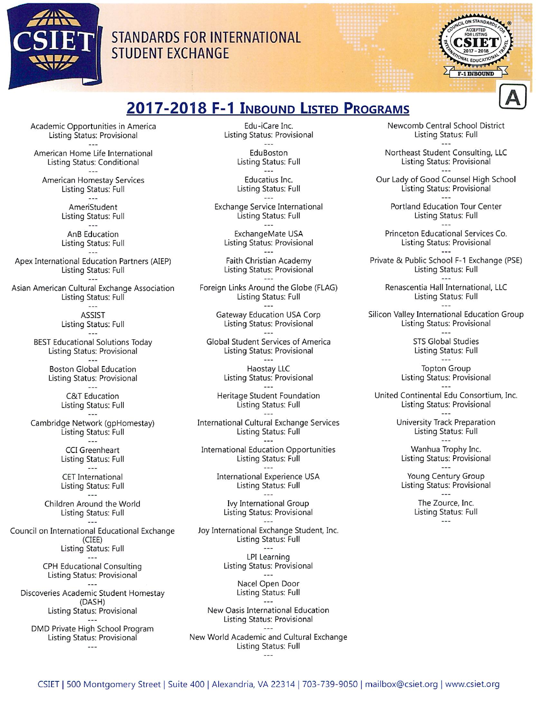

## **STANDARDS FOR INTERNATIONAL STUDENT EXCHANGE**



# 2017-2018 F-1 INBOUND LISTED PROGRAMS

Academic Opportunities in America Listing Status: Provisional  $-$ 

American Home Life International Listing Status: Conditional

American Homestay Services Listing Status: Full  $---$ 

> AmeriStudent Listing Status: Full

> AnB Education Listing Status: Full

Apex International Education Partners (AIEP) Listing Status: Full

Asian American Cultural Exchange Association Listing Status: Full

> $1 - 1$ ASSIST Listing Status: Full

 $-$ --**BEST Educational Solutions Today** Listing Status: Provisional

> $- - -$ **Boston Global Education** Listing Status: Provisional  $-$

> > C&T Education Listing Status: Full

Cambridge Network (gpHomestay) Listing Status: Full

> **CCI** Greenheart Listing Status: Full

**CET** International Listing Status: Full  $\sim$   $\sim$   $\sim$ 

Children Around the World Listing Status: Full

Council on International Educational Exchange  $(CIEE)$ Listing Status: Full

> $- - -$ **CPH Educational Consulting** Listing Status: Provisional  $\sim$

Discoveries Academic Student Homestay (DASH) Listing Status: Provisional

DMD Private High School Program Listing Status: Provisional  $\sim$   $\sim$   $\sim$ 

Edu-iCare Inc. Listing Status: Provisional  $\overline{\phantom{a}}$ 

> EduBoston Listing Status: Full  $\sim$   $\sim$

> Educatius Inc. Listing Status: Full

Exchange Service International Listing Status: Full

ExchangeMate USA Listing Status: Provisional

Faith Christian Academy Listing Status: Provisional  $- - -$ 

Foreign Links Around the Globe (FLAG) Listing Status: Full  $\sim$   $\sim$   $\sim$ 

> Gateway Education USA Corp Listing Status: Provisional  $\sim$   $\sim$   $\sim$

Global Student Services of America Listing Status: Provisional  $- - -$ 

> Haostay LLC Listing Status: Provisional

Heritage Student Foundation Listing Status: Full

**International Cultural Exchange Services** Listing Status: Full

**International Education Opportunities** Listing Status: Full

> International Experience USA Listing Status: Full

 $- - -$ Ivy International Group **Listing Status: Provisional** 

Joy International Exchange Student, Inc. Listing Status: Full  $\sim$ 

> LPI Learning Listing Status: Provisional  $- - -$

Nacel Open Door Listing Status: Full

New Oasis International Education Listing Status: Provisional

New World Academic and Cultural Exchange Listing Status: Full  $\sim$  44

Newcomb Central School District Listing Status: Full

Northeast Student Consulting, LLC Listing Status: Provisional

Our Lady of Good Counsel High School Listing Status: Provisional

Portland Education Tour Center Listing Status: Full

Princeton Educational Services Co. Listing Status: Provisional

Private & Public School F-1 Exchange (PSE) Listing Status: Full

Renascentia Hall International, LLC Listing Status: Full

Silicon Valley International Education Group Listing Status: Provisional

> STS Global Studies Listing Status: Full

**Topton Group** Listing Status: Provisional

United Continental Edu Consortium, Inc. **Listing Status: Provisional** 

> University Track Preparation Listing Status: Full

Wanhua Trophy Inc. Listing Status: Provisional

Young Century Group Listing Status: Provisional  $---$ 

> The Zource, Inc. Listing Status: Full  $---$